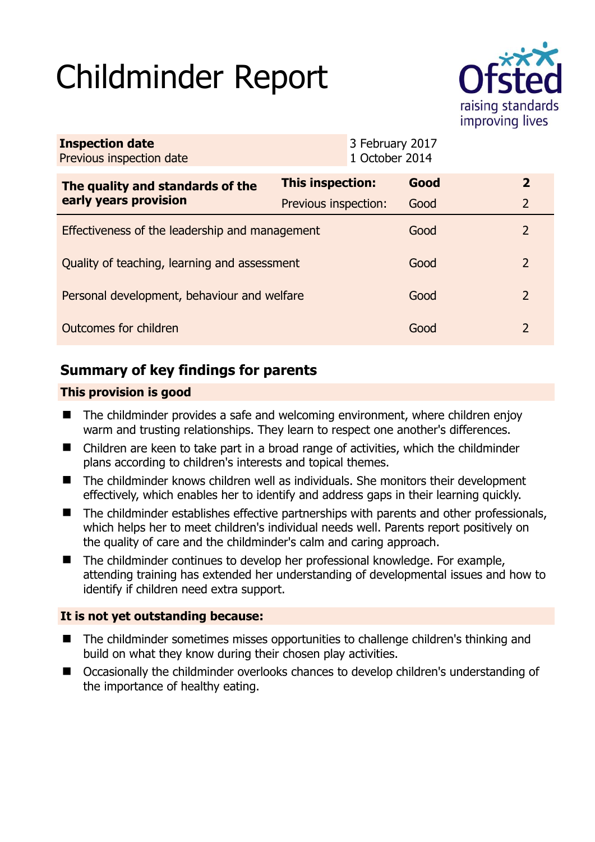# Childminder Report



| <b>Inspection date</b><br>Previous inspection date        |                      | 3 February 2017<br>1 October 2014 |      |                |
|-----------------------------------------------------------|----------------------|-----------------------------------|------|----------------|
| The quality and standards of the<br>early years provision | This inspection:     |                                   | Good | $\mathbf{2}$   |
|                                                           | Previous inspection: |                                   | Good | $\overline{2}$ |
| Effectiveness of the leadership and management            |                      |                                   | Good | 2              |
| Quality of teaching, learning and assessment              |                      |                                   | Good | $\mathcal{P}$  |
| Personal development, behaviour and welfare               |                      |                                   | Good | 2              |
| Outcomes for children                                     |                      |                                   | Good | $\mathcal{P}$  |

# **Summary of key findings for parents**

## **This provision is good**

- $\blacksquare$  The childminder provides a safe and welcoming environment, where children enjoy warm and trusting relationships. They learn to respect one another's differences.
- Children are keen to take part in a broad range of activities, which the childminder plans according to children's interests and topical themes.
- The childminder knows children well as individuals. She monitors their development effectively, which enables her to identify and address gaps in their learning quickly.
- The childminder establishes effective partnerships with parents and other professionals, which helps her to meet children's individual needs well. Parents report positively on the quality of care and the childminder's calm and caring approach.
- The childminder continues to develop her professional knowledge. For example, attending training has extended her understanding of developmental issues and how to identify if children need extra support.

## **It is not yet outstanding because:**

- The childminder sometimes misses opportunities to challenge children's thinking and build on what they know during their chosen play activities.
- Occasionally the childminder overlooks chances to develop children's understanding of the importance of healthy eating.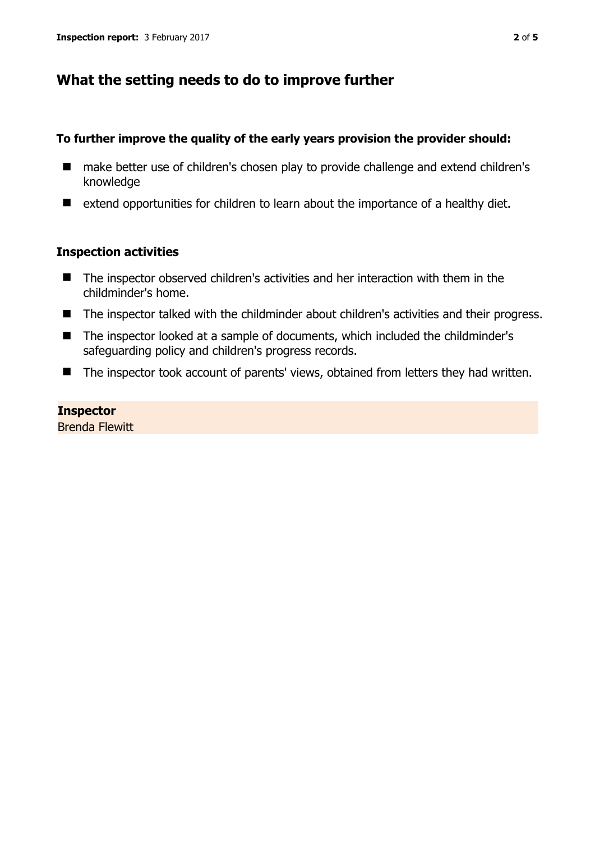## **What the setting needs to do to improve further**

#### **To further improve the quality of the early years provision the provider should:**

- make better use of children's chosen play to provide challenge and extend children's knowledge
- extend opportunities for children to learn about the importance of a healthy diet.

#### **Inspection activities**

- The inspector observed children's activities and her interaction with them in the childminder's home.
- The inspector talked with the childminder about children's activities and their progress.
- The inspector looked at a sample of documents, which included the childminder's safeguarding policy and children's progress records.
- The inspector took account of parents' views, obtained from letters they had written.

**Inspector**  Brenda Flewitt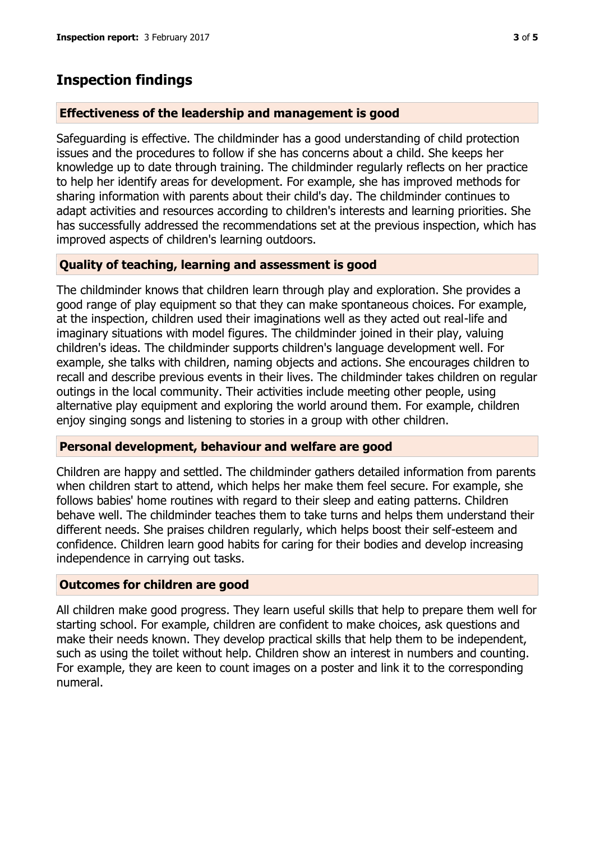# **Inspection findings**

#### **Effectiveness of the leadership and management is good**

Safeguarding is effective. The childminder has a good understanding of child protection issues and the procedures to follow if she has concerns about a child. She keeps her knowledge up to date through training. The childminder regularly reflects on her practice to help her identify areas for development. For example, she has improved methods for sharing information with parents about their child's day. The childminder continues to adapt activities and resources according to children's interests and learning priorities. She has successfully addressed the recommendations set at the previous inspection, which has improved aspects of children's learning outdoors.

## **Quality of teaching, learning and assessment is good**

The childminder knows that children learn through play and exploration. She provides a good range of play equipment so that they can make spontaneous choices. For example, at the inspection, children used their imaginations well as they acted out real-life and imaginary situations with model figures. The childminder joined in their play, valuing children's ideas. The childminder supports children's language development well. For example, she talks with children, naming objects and actions. She encourages children to recall and describe previous events in their lives. The childminder takes children on regular outings in the local community. Their activities include meeting other people, using alternative play equipment and exploring the world around them. For example, children enjoy singing songs and listening to stories in a group with other children.

#### **Personal development, behaviour and welfare are good**

Children are happy and settled. The childminder gathers detailed information from parents when children start to attend, which helps her make them feel secure. For example, she follows babies' home routines with regard to their sleep and eating patterns. Children behave well. The childminder teaches them to take turns and helps them understand their different needs. She praises children regularly, which helps boost their self-esteem and confidence. Children learn good habits for caring for their bodies and develop increasing independence in carrying out tasks.

## **Outcomes for children are good**

All children make good progress. They learn useful skills that help to prepare them well for starting school. For example, children are confident to make choices, ask questions and make their needs known. They develop practical skills that help them to be independent, such as using the toilet without help. Children show an interest in numbers and counting. For example, they are keen to count images on a poster and link it to the corresponding numeral.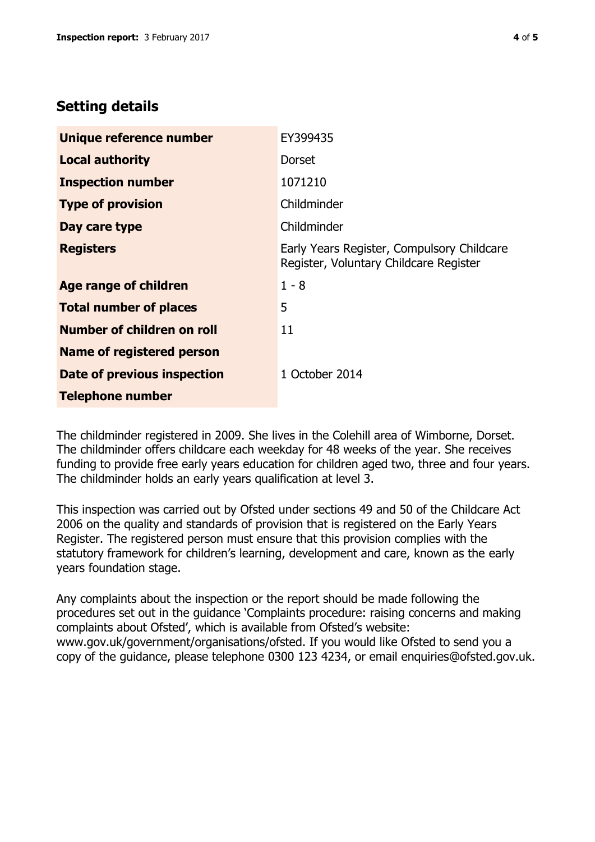# **Setting details**

| Unique reference number           | EY399435                                                                             |  |
|-----------------------------------|--------------------------------------------------------------------------------------|--|
| <b>Local authority</b>            | <b>Dorset</b>                                                                        |  |
| <b>Inspection number</b>          | 1071210                                                                              |  |
| <b>Type of provision</b>          | Childminder                                                                          |  |
| Day care type                     | Childminder                                                                          |  |
| <b>Registers</b>                  | Early Years Register, Compulsory Childcare<br>Register, Voluntary Childcare Register |  |
| <b>Age range of children</b>      | $1 - 8$                                                                              |  |
| <b>Total number of places</b>     | 5                                                                                    |  |
| <b>Number of children on roll</b> | 11                                                                                   |  |
| <b>Name of registered person</b>  |                                                                                      |  |
| Date of previous inspection       | 1 October 2014                                                                       |  |
| <b>Telephone number</b>           |                                                                                      |  |

The childminder registered in 2009. She lives in the Colehill area of Wimborne, Dorset. The childminder offers childcare each weekday for 48 weeks of the year. She receives funding to provide free early years education for children aged two, three and four years. The childminder holds an early years qualification at level 3.

This inspection was carried out by Ofsted under sections 49 and 50 of the Childcare Act 2006 on the quality and standards of provision that is registered on the Early Years Register. The registered person must ensure that this provision complies with the statutory framework for children's learning, development and care, known as the early years foundation stage.

Any complaints about the inspection or the report should be made following the procedures set out in the guidance 'Complaints procedure: raising concerns and making complaints about Ofsted', which is available from Ofsted's website: www.gov.uk/government/organisations/ofsted. If you would like Ofsted to send you a copy of the guidance, please telephone 0300 123 4234, or email enquiries@ofsted.gov.uk.